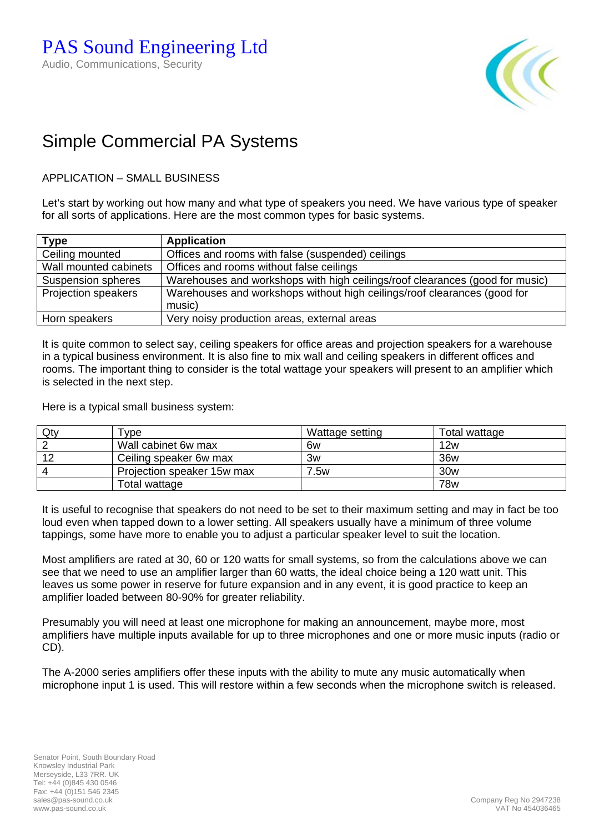

## Simple Commercial PA Systems

APPLICATION – SMALL BUSINESS

Let's start by working out how many and what type of speakers you need. We have various type of speaker for all sorts of applications. Here are the most common types for basic systems.

| <b>Type</b>                | <b>Application</b>                                                           |  |  |
|----------------------------|------------------------------------------------------------------------------|--|--|
| Ceiling mounted            | Offices and rooms with false (suspended) ceilings                            |  |  |
| Wall mounted cabinets      | Offices and rooms without false ceilings                                     |  |  |
| Suspension spheres         | Warehouses and workshops with high ceilings/roof clearances (good for music) |  |  |
| <b>Projection speakers</b> | Warehouses and workshops without high ceilings/roof clearances (good for     |  |  |
|                            | music)                                                                       |  |  |
| Horn speakers              | Very noisy production areas, external areas                                  |  |  |

It is quite common to select say, ceiling speakers for office areas and projection speakers for a warehouse in a typical business environment. It is also fine to mix wall and ceiling speakers in different offices and rooms. The important thing to consider is the total wattage your speakers will present to an amplifier which is selected in the next step.

Here is a typical small business system:

| Qty | Tvpe :                     | Wattage setting | Total wattage   |
|-----|----------------------------|-----------------|-----------------|
|     | Wall cabinet 6w max        | 6w              | 12w             |
| 12  | Ceiling speaker 6w max     | 3w              | 36w             |
|     | Projection speaker 15w max | 7.5w            | 30 <sub>w</sub> |
|     | Total wattage              |                 | <b>78w</b>      |

It is useful to recognise that speakers do not need to be set to their maximum setting and may in fact be too loud even when tapped down to a lower setting. All speakers usually have a minimum of three volume tappings, some have more to enable you to adjust a particular speaker level to suit the location.

Most amplifiers are rated at 30, 60 or 120 watts for small systems, so from the calculations above we can see that we need to use an amplifier larger than 60 watts, the ideal choice being a 120 watt unit. This leaves us some power in reserve for future expansion and in any event, it is good practice to keep an amplifier loaded between 80-90% for greater reliability.

Presumably you will need at least one microphone for making an announcement, maybe more, most amplifiers have multiple inputs available for up to three microphones and one or more music inputs (radio or CD).

The A-2000 series amplifiers offer these inputs with the ability to mute any music automatically when microphone input 1 is used. This will restore within a few seconds when the microphone switch is released.